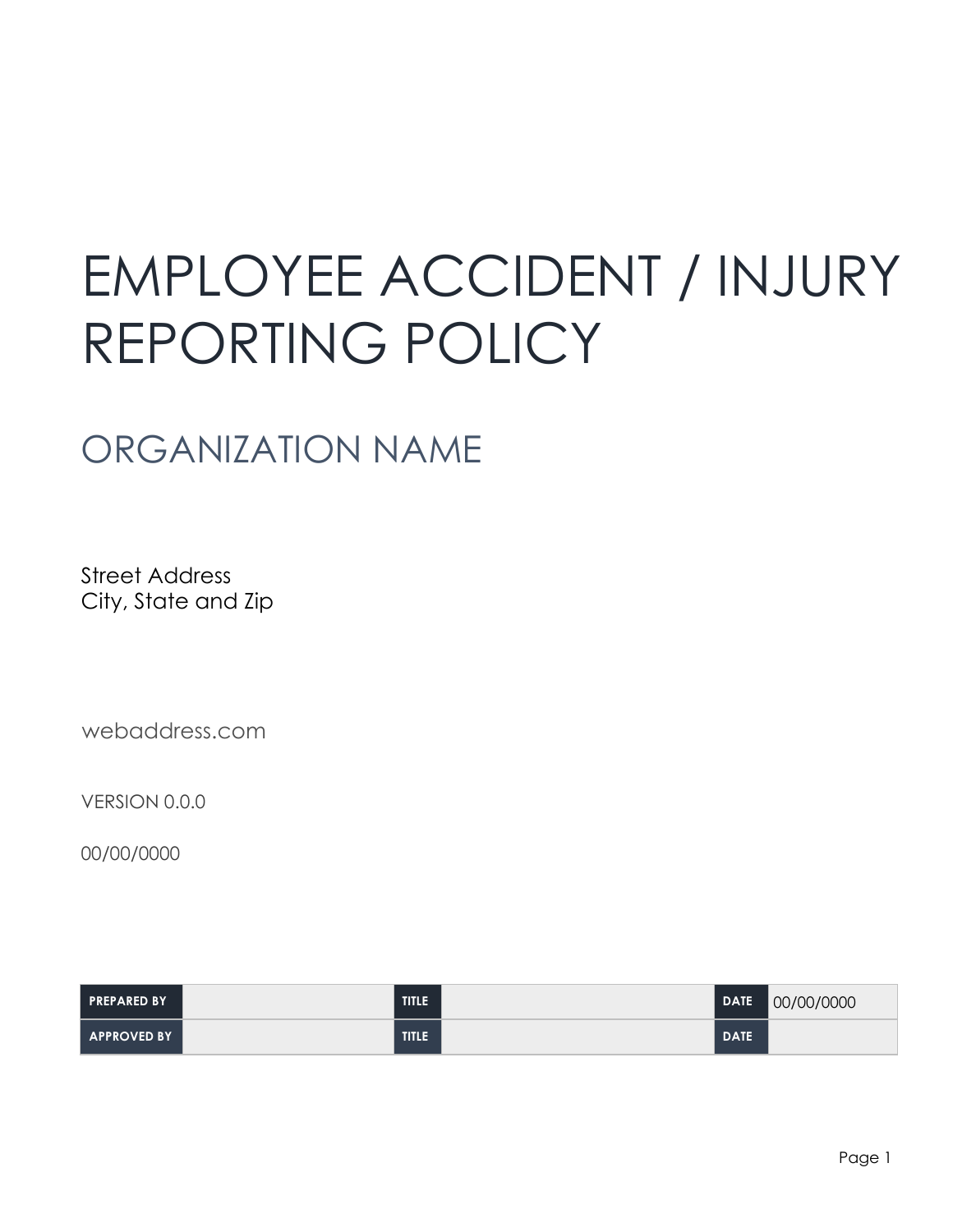# EMPLOYEE ACCIDENT / INJURY REPORTING POLICY

# ORGANIZATION NAME

Street Address City, State and Zip

webaddress.com

VERSION 0.0.0

00/00/0000

| <b>PREPARED BY</b> | TITLE <sup>1</sup> | <b>DATE</b> | 00/00/0000 |
|--------------------|--------------------|-------------|------------|
| <b>APPROVED BY</b> | TITLE '            | <b>DATE</b> |            |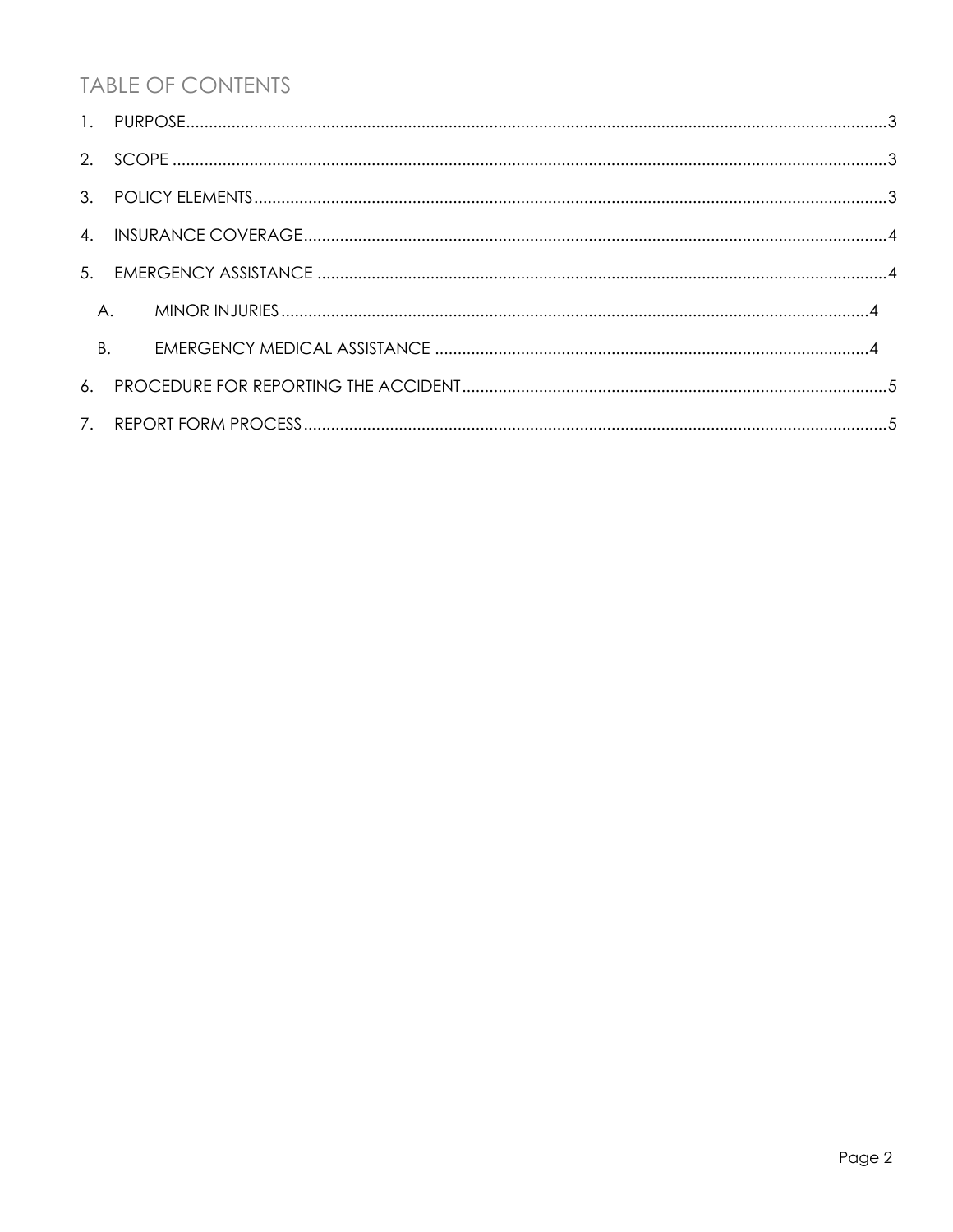# **TABLE OF CONTENTS**

| B. |  |
|----|--|
|    |  |
|    |  |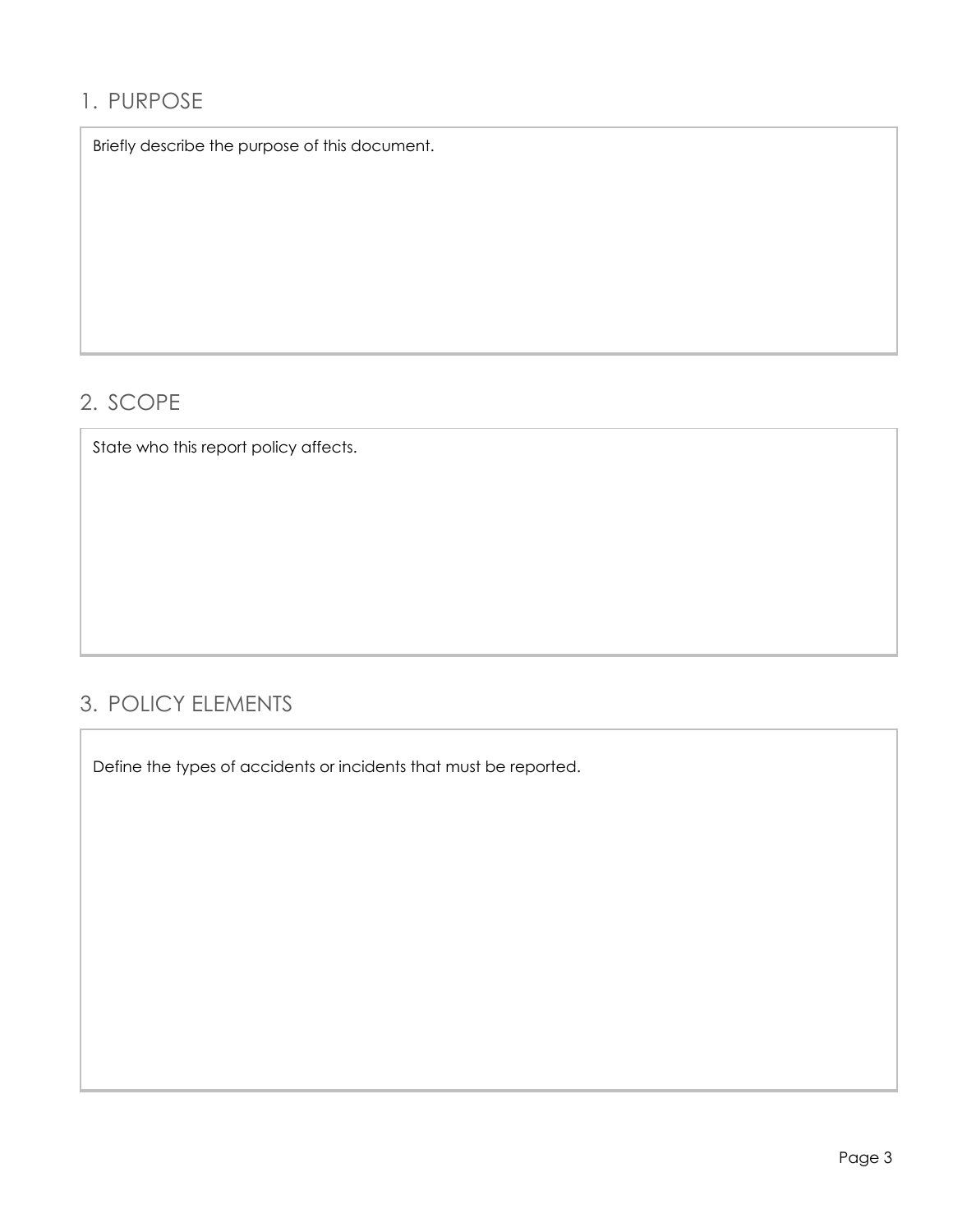## 1. PURPOSE

Briefly describe the purpose of this document.<br>.<br>SCOPE<br>State who this report policy affects.

# 2. SCOPE

# 3. POLICY ELEMENTS

Define the types of accidents or incidents that must be reported.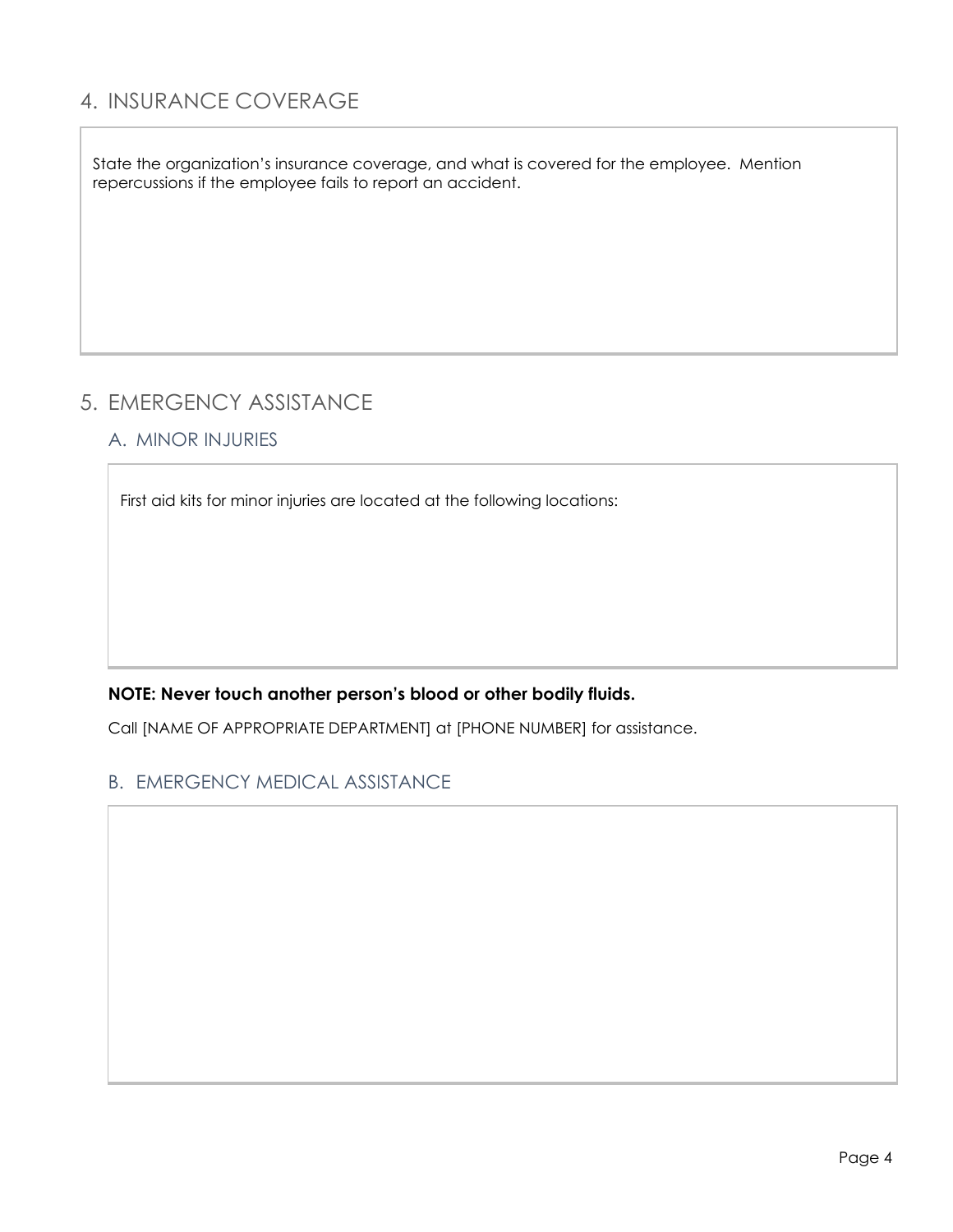### 4. INSURANCE COVERAGE

State the organization's insurance coverage, and what is covered for the employee. Mention repercussions if the employee fails to report an accident.

### 5. EMERGENCY ASSISTANCE

#### A. MINOR INJURIES

repercussions if the employee fails to report an accident.<br>FIRENCENCY ASSISTANCE<br>A. MINOR INJURIES<br>First aid kits for minor injuries are located at the following locations:

#### **NOTE: Never touch another person's blood or other bodily fluids.**

Call [NAME OF APPROPRIATE DEPARTMENT] at [PHONE NUMBER] for assistance.

#### B. EMERGENCY MEDICAL ASSISTANCE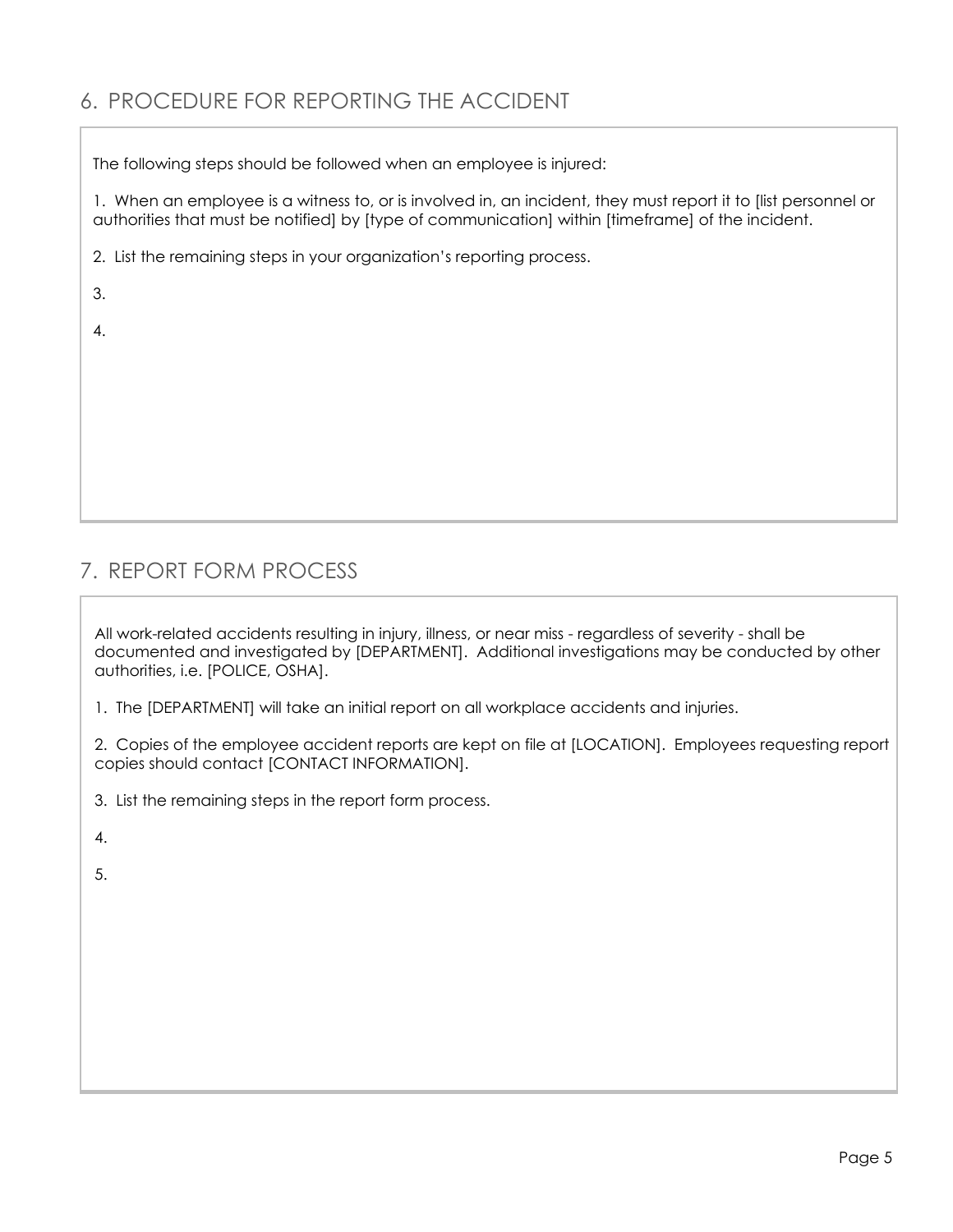# 6. PROCEDURE FOR REPORTING THE ACCIDENT

The following steps should be followed when an employee is injured:

1. When an employee is a witness to, or is involved in, an incident, they must report it to [list personnel or authorities that must be notified] by [type of communication] within [timeframe] of the incident.

2. List the remaining steps in your organization's reporting process.

| ۰<br>٠<br>×   |        |  |
|---------------|--------|--|
| ۰.<br>۰.<br>v | $\sim$ |  |

4.

# 7. REPORT FORM PROCESS

All work-related accidents resulting in injury, illness, or near miss - regardless of severity - shall be documented and investigated by [DEPARTMENT]. Additional investigations may be conducted by other authorities, i.e. [POLICE, OSHA].

1. The [DEPARTMENT] will take an initial report on all workplace accidents and injuries.

2. Copies of the employee accident reports are kept on file at [LOCATION]. Employees requesting report copies should contact [CONTACT INFORMATION].

3. List the remaining steps in the report form process.

4.

5.